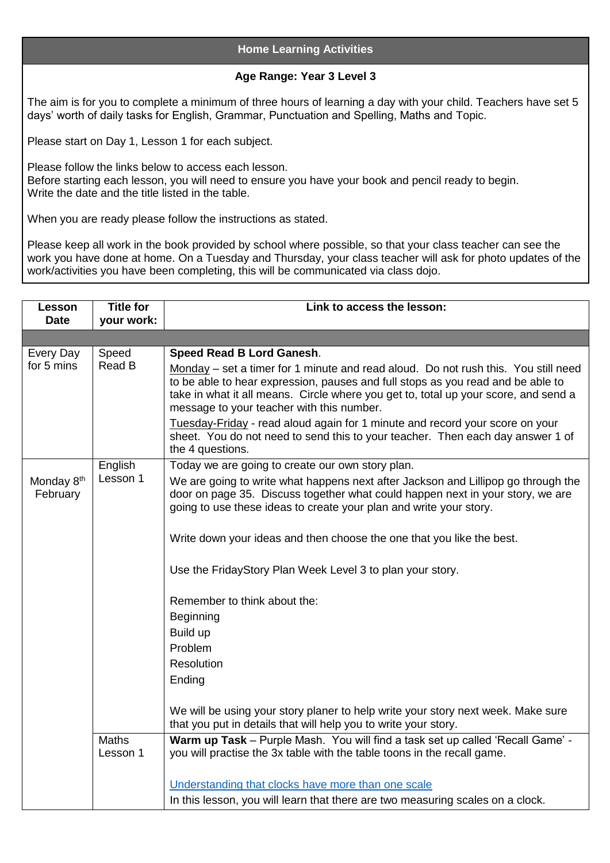## **Home Learning Activities**

## **Age Range: Year 3 Level 3**

The aim is for you to complete a minimum of three hours of learning a day with your child. Teachers have set 5 days' worth of daily tasks for English, Grammar, Punctuation and Spelling, Maths and Topic.

Please start on Day 1, Lesson 1 for each subject.

Please follow the links below to access each lesson. Before starting each lesson, you will need to ensure you have your book and pencil ready to begin. Write the date and the title listed in the table.

When you are ready please follow the instructions as stated.

Please keep all work in the book provided by school where possible, so that your class teacher can see the work you have done at home. On a Tuesday and Thursday, your class teacher will ask for photo updates of the work/activities you have been completing, this will be communicated via class dojo.

| Lesson<br><b>Date</b>              | <b>Title for</b><br>your work: | Link to access the lesson:                                                                                                                                                                                                                                                                                                                                                                                                                                                                                                                                                                                                                                                                    |
|------------------------------------|--------------------------------|-----------------------------------------------------------------------------------------------------------------------------------------------------------------------------------------------------------------------------------------------------------------------------------------------------------------------------------------------------------------------------------------------------------------------------------------------------------------------------------------------------------------------------------------------------------------------------------------------------------------------------------------------------------------------------------------------|
|                                    |                                |                                                                                                                                                                                                                                                                                                                                                                                                                                                                                                                                                                                                                                                                                               |
| Every Day<br>for 5 mins            | Speed<br>Read B                | Speed Read B Lord Ganesh.<br>Monday – set a timer for 1 minute and read aloud. Do not rush this. You still need<br>to be able to hear expression, pauses and full stops as you read and be able to<br>take in what it all means. Circle where you get to, total up your score, and send a<br>message to your teacher with this number.<br>Tuesday-Friday - read aloud again for 1 minute and record your score on your<br>sheet. You do not need to send this to your teacher. Then each day answer 1 of<br>the 4 questions.                                                                                                                                                                  |
| Monday 8 <sup>th</sup><br>February | English<br>Lesson 1            | Today we are going to create our own story plan.<br>We are going to write what happens next after Jackson and Lillipop go through the<br>door on page 35. Discuss together what could happen next in your story, we are<br>going to use these ideas to create your plan and write your story.<br>Write down your ideas and then choose the one that you like the best.<br>Use the FridayStory Plan Week Level 3 to plan your story.<br>Remember to think about the:<br><b>Beginning</b><br>Build up<br>Problem<br>Resolution<br>Ending<br>We will be using your story planer to help write your story next week. Make sure<br>that you put in details that will help you to write your story. |
|                                    | <b>Maths</b><br>Lesson 1       | Warm up Task - Purple Mash. You will find a task set up called 'Recall Game' -<br>you will practise the 3x table with the table toons in the recall game.<br>Understanding that clocks have more than one scale<br>In this lesson, you will learn that there are two measuring scales on a clock.                                                                                                                                                                                                                                                                                                                                                                                             |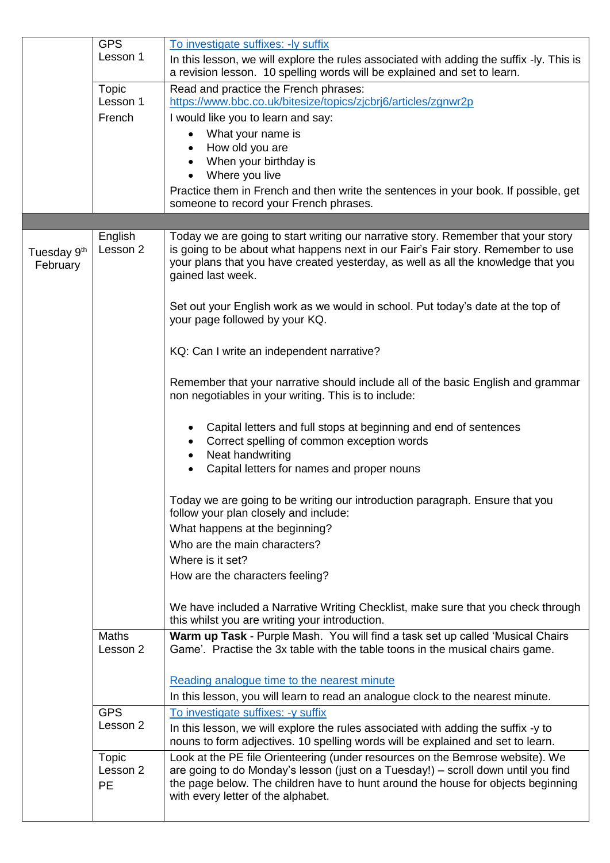|                                     | <b>GPS</b><br>Lesson 1         | To investigate suffixes: - ly suffix                                                                                                                                                                                                                                                         |
|-------------------------------------|--------------------------------|----------------------------------------------------------------------------------------------------------------------------------------------------------------------------------------------------------------------------------------------------------------------------------------------|
|                                     |                                | In this lesson, we will explore the rules associated with adding the suffix -ly. This is<br>a revision lesson. 10 spelling words will be explained and set to learn.                                                                                                                         |
|                                     | <b>Topic</b><br>Lesson 1       | Read and practice the French phrases:<br>https://www.bbc.co.uk/bitesize/topics/zjcbrj6/articles/zgnwr2p                                                                                                                                                                                      |
|                                     | French                         | I would like you to learn and say:                                                                                                                                                                                                                                                           |
|                                     |                                | What your name is                                                                                                                                                                                                                                                                            |
|                                     |                                | How old you are                                                                                                                                                                                                                                                                              |
|                                     |                                | When your birthday is                                                                                                                                                                                                                                                                        |
|                                     |                                | Where you live<br>Practice them in French and then write the sentences in your book. If possible, get                                                                                                                                                                                        |
|                                     |                                | someone to record your French phrases.                                                                                                                                                                                                                                                       |
|                                     |                                |                                                                                                                                                                                                                                                                                              |
| Tuesday 9 <sup>th</sup><br>February | English<br>Lesson 2            | Today we are going to start writing our narrative story. Remember that your story<br>is going to be about what happens next in our Fair's Fair story. Remember to use<br>your plans that you have created yesterday, as well as all the knowledge that you<br>gained last week.              |
|                                     |                                | Set out your English work as we would in school. Put today's date at the top of<br>your page followed by your KQ.                                                                                                                                                                            |
|                                     |                                | KQ: Can I write an independent narrative?                                                                                                                                                                                                                                                    |
|                                     |                                | Remember that your narrative should include all of the basic English and grammar<br>non negotiables in your writing. This is to include:                                                                                                                                                     |
|                                     |                                | Capital letters and full stops at beginning and end of sentences<br>Correct spelling of common exception words<br>Neat handwriting<br>٠<br>Capital letters for names and proper nouns                                                                                                        |
|                                     |                                |                                                                                                                                                                                                                                                                                              |
|                                     |                                | Today we are going to be writing our introduction paragraph. Ensure that you<br>follow your plan closely and include:                                                                                                                                                                        |
|                                     |                                | What happens at the beginning?                                                                                                                                                                                                                                                               |
|                                     |                                | Who are the main characters?                                                                                                                                                                                                                                                                 |
|                                     |                                | Where is it set?                                                                                                                                                                                                                                                                             |
|                                     |                                | How are the characters feeling?                                                                                                                                                                                                                                                              |
|                                     |                                | We have included a Narrative Writing Checklist, make sure that you check through<br>this whilst you are writing your introduction.                                                                                                                                                           |
|                                     | <b>Maths</b><br>Lesson 2       | Warm up Task - Purple Mash. You will find a task set up called 'Musical Chairs<br>Game'. Practise the 3x table with the table toons in the musical chairs game.                                                                                                                              |
|                                     |                                | Reading analogue time to the nearest minute                                                                                                                                                                                                                                                  |
|                                     |                                | In this lesson, you will learn to read an analogue clock to the nearest minute.                                                                                                                                                                                                              |
|                                     | <b>GPS</b>                     | To investigate suffixes: -y suffix                                                                                                                                                                                                                                                           |
|                                     | Lesson 2                       | In this lesson, we will explore the rules associated with adding the suffix -y to<br>nouns to form adjectives. 10 spelling words will be explained and set to learn.                                                                                                                         |
|                                     | Topic<br>Lesson 2<br><b>PE</b> | Look at the PE file Orienteering (under resources on the Bemrose website). We<br>are going to do Monday's lesson (just on a Tuesday!) - scroll down until you find<br>the page below. The children have to hunt around the house for objects beginning<br>with every letter of the alphabet. |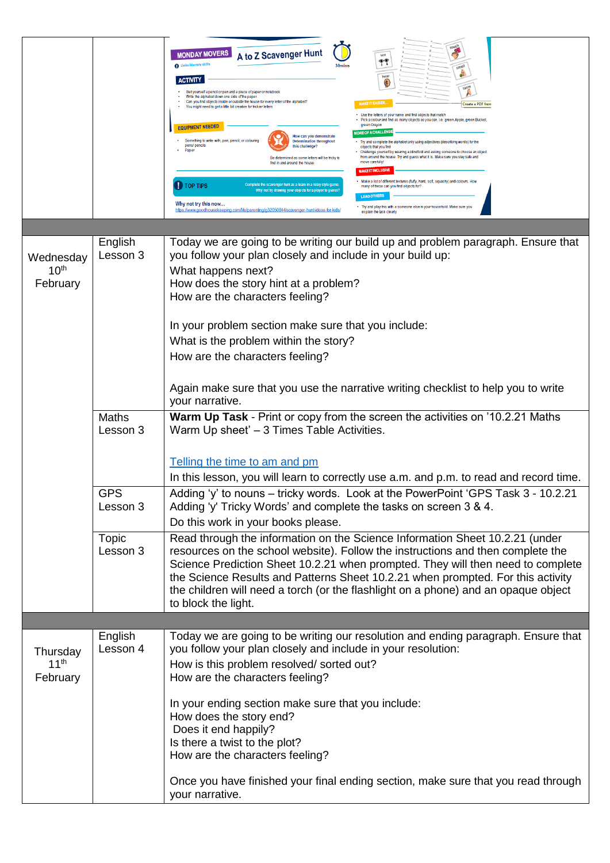|                               |                          | touch<br><b>MONDAY MOVERS</b><br>A to Z Scavenger Hunt<br>see<br>۳<br><b>D</b> Links literacy ski<br>30 <sub>min</sub><br>hear<br><sup>(1)</sup><br><b>ACTIVITY</b><br>Get yourself a pencil or pen and a piece of paper or notebook<br>Write the alphabet down one side of the pape<br>Can you find objects inside or outside the house for every letter of the alphabet?<br>Create a PDF fron<br>You might need to get a little bit creative for trickier letters<br>Use the letters of your name and find objects that match<br>Pick a colour and find as many objects as you can. i.e. green Apple, green Bucket,<br>green Crayon<br><b>EQUIPMENT NEEDED</b><br><b>RE OF A CHALLE</b><br>How can you demonstrate<br>Something to write with; pen, pencil, or colouring<br><b>Determination throughout</b><br>Try and complete the alphabet only using adjectives (describing words) for the<br>pens/ pencils<br>his challenge?<br>objects that you find<br>Challenge yourself by wearing a blindfold and asking someone to choose an object<br>from around the house. Try and guess what it is. Make sure you stay safe and<br>Be determined as some letters will be tricky to<br>move carefully!<br>find in and around the house<br><b>MAKE IT INCLUSI</b><br>Make a list of different textures (fluffy, hard, soft, squashy) and colours. Hov<br><b>D</b> TOP TIPS<br>omplete the scavenger hunt as a team in a relay style gam<br>many of these can you find objects for?<br>Why not try drawing your objects for a player to gues:<br>Why not try this now<br>Try and play this with a someone else in your household. Make sure you<br>https://www.goodhousekeeping.com/life/parenting/g32050844/scavenger-hunt-ideas-for-kids<br>explain the task clearly |
|-------------------------------|--------------------------|---------------------------------------------------------------------------------------------------------------------------------------------------------------------------------------------------------------------------------------------------------------------------------------------------------------------------------------------------------------------------------------------------------------------------------------------------------------------------------------------------------------------------------------------------------------------------------------------------------------------------------------------------------------------------------------------------------------------------------------------------------------------------------------------------------------------------------------------------------------------------------------------------------------------------------------------------------------------------------------------------------------------------------------------------------------------------------------------------------------------------------------------------------------------------------------------------------------------------------------------------------------------------------------------------------------------------------------------------------------------------------------------------------------------------------------------------------------------------------------------------------------------------------------------------------------------------------------------------------------------------------------------------------------------------------------------------------------------------------------------------------------------|
| Wednesday<br>10 <sup>th</sup> | English<br>Lesson 3      | Today we are going to be writing our build up and problem paragraph. Ensure that<br>you follow your plan closely and include in your build up:                                                                                                                                                                                                                                                                                                                                                                                                                                                                                                                                                                                                                                                                                                                                                                                                                                                                                                                                                                                                                                                                                                                                                                                                                                                                                                                                                                                                                                                                                                                                                                                                                      |
| February                      |                          | What happens next?<br>How does the story hint at a problem?<br>How are the characters feeling?                                                                                                                                                                                                                                                                                                                                                                                                                                                                                                                                                                                                                                                                                                                                                                                                                                                                                                                                                                                                                                                                                                                                                                                                                                                                                                                                                                                                                                                                                                                                                                                                                                                                      |
|                               |                          | In your problem section make sure that you include:                                                                                                                                                                                                                                                                                                                                                                                                                                                                                                                                                                                                                                                                                                                                                                                                                                                                                                                                                                                                                                                                                                                                                                                                                                                                                                                                                                                                                                                                                                                                                                                                                                                                                                                 |
|                               |                          | What is the problem within the story?                                                                                                                                                                                                                                                                                                                                                                                                                                                                                                                                                                                                                                                                                                                                                                                                                                                                                                                                                                                                                                                                                                                                                                                                                                                                                                                                                                                                                                                                                                                                                                                                                                                                                                                               |
|                               |                          | How are the characters feeling?                                                                                                                                                                                                                                                                                                                                                                                                                                                                                                                                                                                                                                                                                                                                                                                                                                                                                                                                                                                                                                                                                                                                                                                                                                                                                                                                                                                                                                                                                                                                                                                                                                                                                                                                     |
|                               |                          | Again make sure that you use the narrative writing checklist to help you to write<br>your narrative.                                                                                                                                                                                                                                                                                                                                                                                                                                                                                                                                                                                                                                                                                                                                                                                                                                                                                                                                                                                                                                                                                                                                                                                                                                                                                                                                                                                                                                                                                                                                                                                                                                                                |
|                               | <b>Maths</b><br>Lesson 3 | Warm Up Task - Print or copy from the screen the activities on '10.2.21 Maths<br>Warm Up sheet' - 3 Times Table Activities.                                                                                                                                                                                                                                                                                                                                                                                                                                                                                                                                                                                                                                                                                                                                                                                                                                                                                                                                                                                                                                                                                                                                                                                                                                                                                                                                                                                                                                                                                                                                                                                                                                         |
|                               |                          | Telling the time to am and pm                                                                                                                                                                                                                                                                                                                                                                                                                                                                                                                                                                                                                                                                                                                                                                                                                                                                                                                                                                                                                                                                                                                                                                                                                                                                                                                                                                                                                                                                                                                                                                                                                                                                                                                                       |
|                               |                          | In this lesson, you will learn to correctly use a.m. and p.m. to read and record time.                                                                                                                                                                                                                                                                                                                                                                                                                                                                                                                                                                                                                                                                                                                                                                                                                                                                                                                                                                                                                                                                                                                                                                                                                                                                                                                                                                                                                                                                                                                                                                                                                                                                              |
|                               | <b>GPS</b><br>Lesson 3   | Adding 'y' to nouns - tricky words. Look at the PowerPoint 'GPS Task 3 - 10.2.21<br>Adding 'y' Tricky Words' and complete the tasks on screen 3 & 4.<br>Do this work in your books please.                                                                                                                                                                                                                                                                                                                                                                                                                                                                                                                                                                                                                                                                                                                                                                                                                                                                                                                                                                                                                                                                                                                                                                                                                                                                                                                                                                                                                                                                                                                                                                          |
|                               | <b>Topic</b><br>Lesson 3 | Read through the information on the Science Information Sheet 10.2.21 (under<br>resources on the school website). Follow the instructions and then complete the<br>Science Prediction Sheet 10.2.21 when prompted. They will then need to complete<br>the Science Results and Patterns Sheet 10.2.21 when prompted. For this activity<br>the children will need a torch (or the flashlight on a phone) and an opaque object<br>to block the light.                                                                                                                                                                                                                                                                                                                                                                                                                                                                                                                                                                                                                                                                                                                                                                                                                                                                                                                                                                                                                                                                                                                                                                                                                                                                                                                  |
|                               | English                  | Today we are going to be writing our resolution and ending paragraph. Ensure that                                                                                                                                                                                                                                                                                                                                                                                                                                                                                                                                                                                                                                                                                                                                                                                                                                                                                                                                                                                                                                                                                                                                                                                                                                                                                                                                                                                                                                                                                                                                                                                                                                                                                   |
| Thursday                      | Lesson 4                 | you follow your plan closely and include in your resolution:                                                                                                                                                                                                                                                                                                                                                                                                                                                                                                                                                                                                                                                                                                                                                                                                                                                                                                                                                                                                                                                                                                                                                                                                                                                                                                                                                                                                                                                                                                                                                                                                                                                                                                        |
| 11 <sup>th</sup><br>February  |                          | How is this problem resolved/ sorted out?<br>How are the characters feeling?                                                                                                                                                                                                                                                                                                                                                                                                                                                                                                                                                                                                                                                                                                                                                                                                                                                                                                                                                                                                                                                                                                                                                                                                                                                                                                                                                                                                                                                                                                                                                                                                                                                                                        |
|                               |                          | In your ending section make sure that you include:<br>How does the story end?<br>Does it end happily?<br>Is there a twist to the plot?<br>How are the characters feeling?                                                                                                                                                                                                                                                                                                                                                                                                                                                                                                                                                                                                                                                                                                                                                                                                                                                                                                                                                                                                                                                                                                                                                                                                                                                                                                                                                                                                                                                                                                                                                                                           |
|                               |                          | Once you have finished your final ending section, make sure that you read through<br>your narrative.                                                                                                                                                                                                                                                                                                                                                                                                                                                                                                                                                                                                                                                                                                                                                                                                                                                                                                                                                                                                                                                                                                                                                                                                                                                                                                                                                                                                                                                                                                                                                                                                                                                                |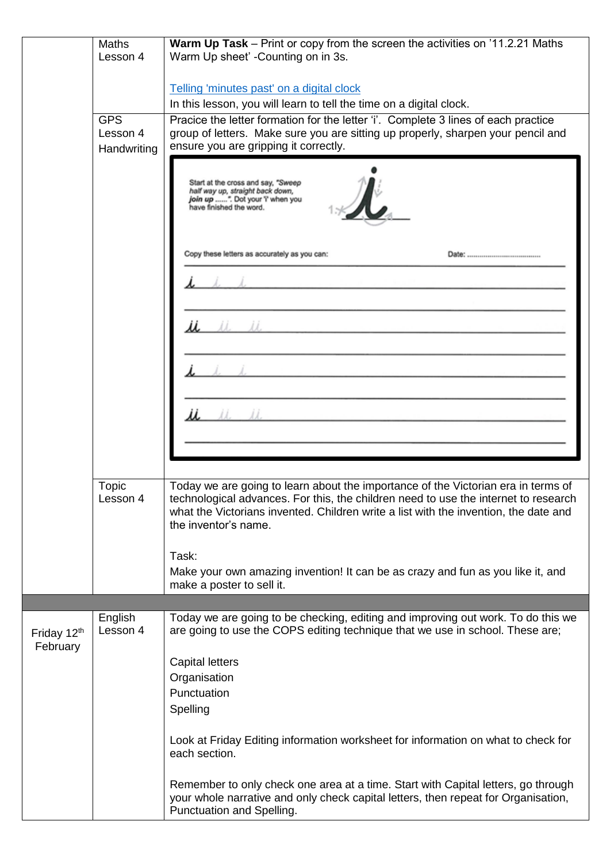|                         | <b>Maths</b><br>Lesson 4 | <b>Warm Up Task</b> – Print or copy from the screen the activities on '11.2.21 Maths<br>Warm Up sheet' -Counting on in 3s.                                                                                                                                                               |
|-------------------------|--------------------------|------------------------------------------------------------------------------------------------------------------------------------------------------------------------------------------------------------------------------------------------------------------------------------------|
|                         |                          |                                                                                                                                                                                                                                                                                          |
|                         |                          | Telling 'minutes past' on a digital clock<br>In this lesson, you will learn to tell the time on a digital clock.                                                                                                                                                                         |
|                         | <b>GPS</b>               | Pracice the letter formation for the letter 'i'. Complete 3 lines of each practice                                                                                                                                                                                                       |
|                         | Lesson 4                 | group of letters. Make sure you are sitting up properly, sharpen your pencil and                                                                                                                                                                                                         |
|                         | Handwriting              | ensure you are gripping it correctly.                                                                                                                                                                                                                                                    |
|                         |                          | Start at the cross and say, "Sweep<br>half way up, straight back down,<br>join up ". Dot your 'i' when you<br>have finished the word.                                                                                                                                                    |
|                         |                          | Copy these letters as accurately as you can:                                                                                                                                                                                                                                             |
|                         |                          | and the dead duction of                                                                                                                                                                                                                                                                  |
|                         |                          |                                                                                                                                                                                                                                                                                          |
|                         |                          |                                                                                                                                                                                                                                                                                          |
|                         |                          |                                                                                                                                                                                                                                                                                          |
|                         |                          |                                                                                                                                                                                                                                                                                          |
|                         |                          |                                                                                                                                                                                                                                                                                          |
|                         |                          |                                                                                                                                                                                                                                                                                          |
|                         |                          |                                                                                                                                                                                                                                                                                          |
|                         | Topic<br>Lesson 4        | Today we are going to learn about the importance of the Victorian era in terms of<br>technological advances. For this, the children need to use the internet to research<br>what the Victorians invented. Children write a list with the invention, the date and<br>the inventor's name. |
|                         |                          | Task:                                                                                                                                                                                                                                                                                    |
|                         |                          | Make your own amazing invention! It can be as crazy and fun as you like it, and<br>make a poster to sell it.                                                                                                                                                                             |
|                         |                          |                                                                                                                                                                                                                                                                                          |
| Friday 12th<br>February | English<br>Lesson 4      | Today we are going to be checking, editing and improving out work. To do this we<br>are going to use the COPS editing technique that we use in school. These are;                                                                                                                        |
|                         |                          | <b>Capital letters</b>                                                                                                                                                                                                                                                                   |
|                         |                          | Organisation                                                                                                                                                                                                                                                                             |
|                         |                          | Punctuation                                                                                                                                                                                                                                                                              |
|                         |                          | Spelling                                                                                                                                                                                                                                                                                 |
|                         |                          | Look at Friday Editing information worksheet for information on what to check for<br>each section.                                                                                                                                                                                       |
|                         |                          | Remember to only check one area at a time. Start with Capital letters, go through<br>your whole narrative and only check capital letters, then repeat for Organisation,<br>Punctuation and Spelling.                                                                                     |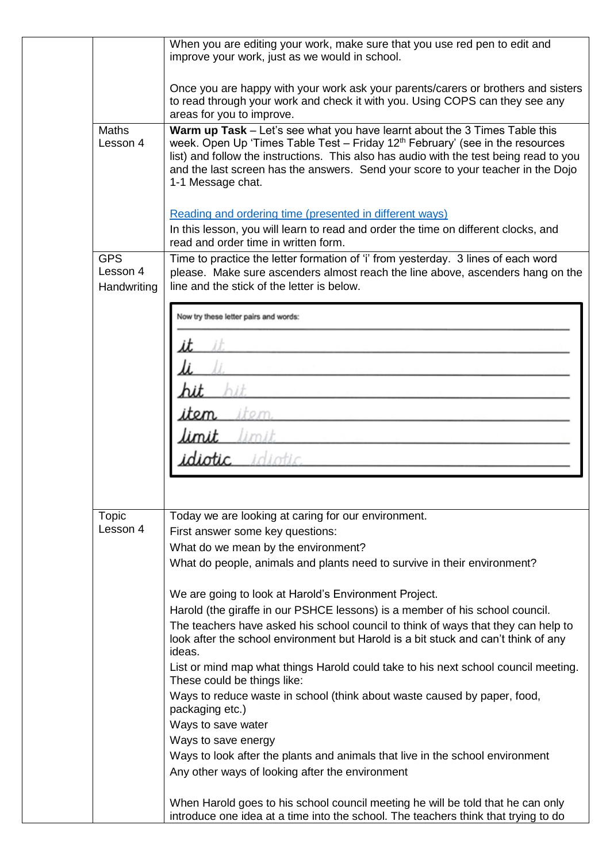|                                       | When you are editing your work, make sure that you use red pen to edit and<br>improve your work, just as we would in school.                                                                                                                                                                                                                                               |
|---------------------------------------|----------------------------------------------------------------------------------------------------------------------------------------------------------------------------------------------------------------------------------------------------------------------------------------------------------------------------------------------------------------------------|
|                                       | Once you are happy with your work ask your parents/carers or brothers and sisters<br>to read through your work and check it with you. Using COPS can they see any<br>areas for you to improve.                                                                                                                                                                             |
| <b>Maths</b><br>Lesson 4              | Warm up Task - Let's see what you have learnt about the 3 Times Table this<br>week. Open Up 'Times Table Test - Friday 12 <sup>th</sup> February' (see in the resources<br>list) and follow the instructions. This also has audio with the test being read to you<br>and the last screen has the answers. Send your score to your teacher in the Dojo<br>1-1 Message chat. |
|                                       | Reading and ordering time (presented in different ways)                                                                                                                                                                                                                                                                                                                    |
|                                       | In this lesson, you will learn to read and order the time on different clocks, and<br>read and order time in written form.                                                                                                                                                                                                                                                 |
| <b>GPS</b><br>Lesson 4<br>Handwriting | Time to practice the letter formation of 'i' from yesterday. 3 lines of each word<br>please. Make sure ascenders almost reach the line above, ascenders hang on the<br>line and the stick of the letter is below.                                                                                                                                                          |
|                                       | Now try these letter pairs and words:                                                                                                                                                                                                                                                                                                                                      |
|                                       |                                                                                                                                                                                                                                                                                                                                                                            |
|                                       |                                                                                                                                                                                                                                                                                                                                                                            |
|                                       |                                                                                                                                                                                                                                                                                                                                                                            |
|                                       |                                                                                                                                                                                                                                                                                                                                                                            |
|                                       |                                                                                                                                                                                                                                                                                                                                                                            |
|                                       |                                                                                                                                                                                                                                                                                                                                                                            |
|                                       |                                                                                                                                                                                                                                                                                                                                                                            |
| Topic                                 | Today we are looking at caring for our environment.                                                                                                                                                                                                                                                                                                                        |
| Lesson 4                              | First answer some key questions:                                                                                                                                                                                                                                                                                                                                           |
|                                       | What do we mean by the environment?<br>What do people, animals and plants need to survive in their environment?                                                                                                                                                                                                                                                            |
|                                       |                                                                                                                                                                                                                                                                                                                                                                            |
|                                       | We are going to look at Harold's Environment Project.                                                                                                                                                                                                                                                                                                                      |
|                                       | Harold (the giraffe in our PSHCE lessons) is a member of his school council.                                                                                                                                                                                                                                                                                               |
|                                       | The teachers have asked his school council to think of ways that they can help to<br>look after the school environment but Harold is a bit stuck and can't think of any<br>ideas.                                                                                                                                                                                          |
|                                       | List or mind map what things Harold could take to his next school council meeting.<br>These could be things like:                                                                                                                                                                                                                                                          |
|                                       | Ways to reduce waste in school (think about waste caused by paper, food,<br>packaging etc.)                                                                                                                                                                                                                                                                                |
|                                       | Ways to save water                                                                                                                                                                                                                                                                                                                                                         |
|                                       | Ways to save energy                                                                                                                                                                                                                                                                                                                                                        |
|                                       | Ways to look after the plants and animals that live in the school environment<br>Any other ways of looking after the environment                                                                                                                                                                                                                                           |
|                                       |                                                                                                                                                                                                                                                                                                                                                                            |
|                                       | When Harold goes to his school council meeting he will be told that he can only<br>introduce one idea at a time into the school. The teachers think that trying to do                                                                                                                                                                                                      |